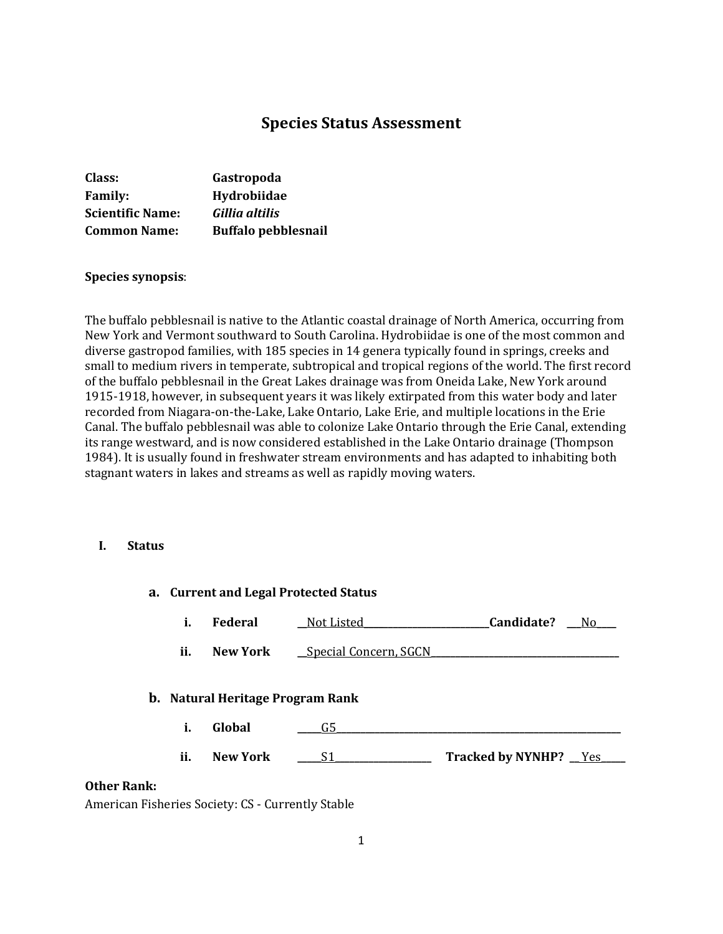# **Species Status Assessment**

| Class:                  | Gastropoda                 |
|-------------------------|----------------------------|
| <b>Family:</b>          | Hydrobiidae                |
| <b>Scientific Name:</b> | Gillia altilis             |
| <b>Common Name:</b>     | <b>Buffalo pebblesnail</b> |

#### **Species synopsis**:

The buffalo pebblesnail is native to the Atlantic coastal drainage of North America, occurring from New York and Vermont southward to South Carolina. Hydrobiidae is one of the most common and diverse gastropod families, with 185 species in 14 genera typically found in springs, creeks and small to medium rivers in temperate, subtropical and tropical regions of the world. The first record of the buffalo pebblesnail in the Great Lakes drainage was from Oneida Lake, New York around 1915-1918, however, in subsequent years it was likely extirpated from this water body and later recorded from Niagara-on-the-Lake, Lake Ontario, Lake Erie, and multiple locations in the Erie Canal. The buffalo pebblesnail was able to colonize Lake Ontario through the Erie Canal, extending its range westward, and is now considered established in the Lake Ontario drainage (Thompson 1984). It is usually found in freshwater stream environments and has adapted to inhabiting both stagnant waters in lakes and streams as well as rapidly moving waters.

#### **I. Status**

| a. Current and Legal Protected Status |     |                                         |                              |                                     |     |
|---------------------------------------|-----|-----------------------------------------|------------------------------|-------------------------------------|-----|
|                                       | i.  | <b>Federal</b>                          | Not Listed                   | Candidate?                          | No. |
|                                       | ii. | New York                                | <u>Special Concern, SGCN</u> |                                     |     |
|                                       |     | <b>b.</b> Natural Heritage Program Rank |                              |                                     |     |
|                                       | i.  | Global                                  | G5                           |                                     |     |
|                                       | ii. | <b>New York</b>                         | S1                           | Tracked by NYNHP? Tracked by NYNHP? |     |
| <b>Other Rank:</b>                    |     |                                         |                              |                                     |     |

American Fisheries Society: CS - Currently Stable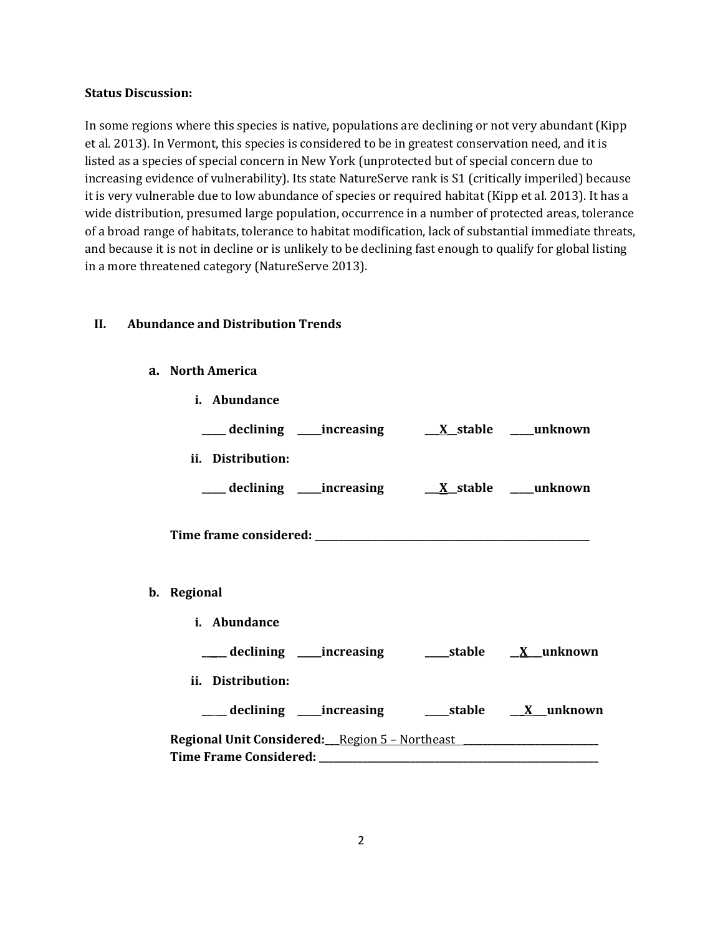#### **Status Discussion:**

In some regions where this species is native, populations are declining or not very abundant (Kipp et al. 2013). In Vermont, this species is considered to be in greatest conservation need, and it is listed as a species of special concern in New York (unprotected but of special concern due to increasing evidence of vulnerability). Its state NatureServe rank is S1 (critically imperiled) because it is very vulnerable due to low abundance of species or required habitat (Kipp et al. 2013). It has a wide distribution, presumed large population, occurrence in a number of protected areas, tolerance of a broad range of habitats, tolerance to habitat modification, lack of substantial immediate threats, and because it is not in decline or is unlikely to be declining fast enough to qualify for global listing in a more threatened category (NatureServe 2013).

### **II. Abundance and Distribution Trends**

#### **a. North America**

| i. Abundance                                                        |                                                               |  |
|---------------------------------------------------------------------|---------------------------------------------------------------|--|
|                                                                     | ___ declining ____increasing ____ <u>X_stable __</u> _unknown |  |
| ii. Distribution:                                                   |                                                               |  |
|                                                                     | ___declining ___increasing ___ <u>X_</u> stable ___unknown    |  |
|                                                                     |                                                               |  |
| b. Regional                                                         |                                                               |  |
| i. Abundance                                                        |                                                               |  |
|                                                                     | ___ declining ____increasing ______stable _____X__unknown     |  |
| ii. Distribution:                                                   |                                                               |  |
|                                                                     | ___ declining ___ increasing ____ stable __ X_unknown         |  |
| Regional Unit Considered: Region 5 - Northeast ____________________ |                                                               |  |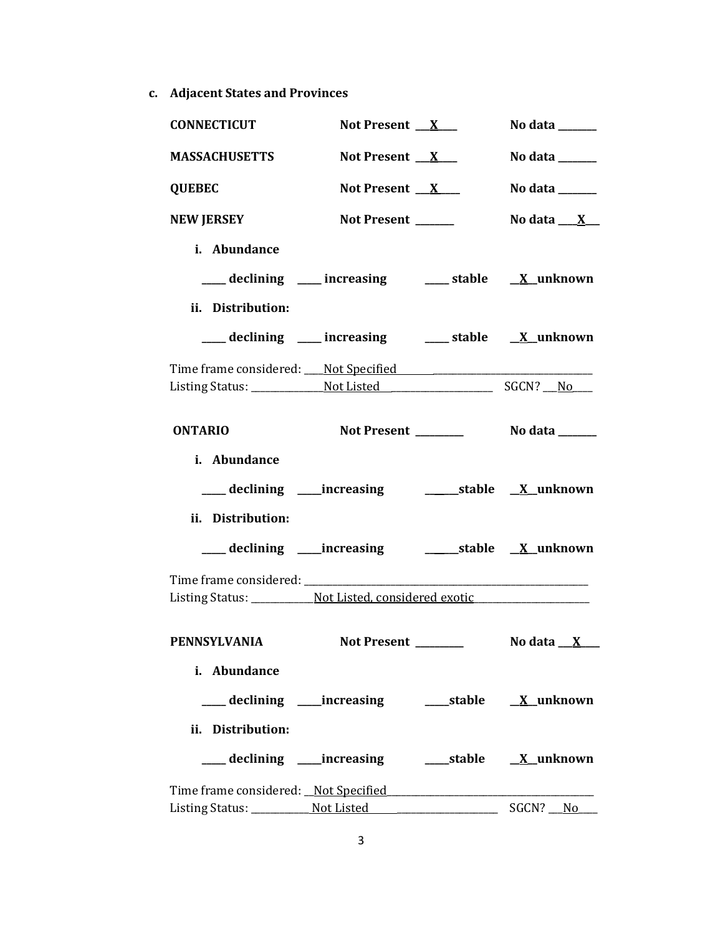**c. Adjacent States and Provinces**

| <b>CONNECTICUT</b>                                                               | Not Present $X_{-}$ | No data $\_\_\_\_\_\_\_\_\_\_\_\$                                           |
|----------------------------------------------------------------------------------|---------------------|-----------------------------------------------------------------------------|
| <b>MASSACHUSETTS</b>                                                             | Not Present $X$     | No data $\_\_\_\_\_\_\_\_\_\_\_\$                                           |
| <b>QUEBEC</b>                                                                    | Not Present $X$     | No data $\frac{1}{\sqrt{1-\frac{1}{2}}\cdot\frac{1}{\sqrt{1-\frac{1}{2}}}}$ |
| <b>NEW JERSEY</b>                                                                | Not Present _____   | No data $\underline{\begin{array}{c} X \end{array}}$                        |
| i. Abundance                                                                     |                     |                                                                             |
| ___ declining ___ increasing ___ stable __ X_unknown                             |                     |                                                                             |
| ii. Distribution:                                                                |                     |                                                                             |
| declining ___ increasing ___ stable __ X_unknown                                 |                     |                                                                             |
|                                                                                  |                     |                                                                             |
|                                                                                  |                     |                                                                             |
| <b>ONTARIO</b>                                                                   |                     |                                                                             |
|                                                                                  |                     |                                                                             |
| i. Abundance                                                                     |                     |                                                                             |
|                                                                                  |                     |                                                                             |
| ii. Distribution:                                                                |                     |                                                                             |
| ___ declining ____increasing ____________stable __ <u>X_</u> unknown             |                     |                                                                             |
|                                                                                  |                     |                                                                             |
| Listing Status: ____________ Not Listed, considered exotic _____________________ |                     |                                                                             |
|                                                                                  |                     |                                                                             |
| <b>PENNSYLVANIA</b>                                                              | <b>Not Present</b>  | No data __ X                                                                |
| i. Abundance                                                                     |                     |                                                                             |
| ____ declining ____ increasing _______ stable ___ <u>X</u> _unknown              |                     |                                                                             |
| ii. Distribution:                                                                |                     |                                                                             |
| ___declining ___increasing _____stable <u>X</u> _unknown                         |                     |                                                                             |
|                                                                                  |                     |                                                                             |
|                                                                                  |                     | SGCN? No                                                                    |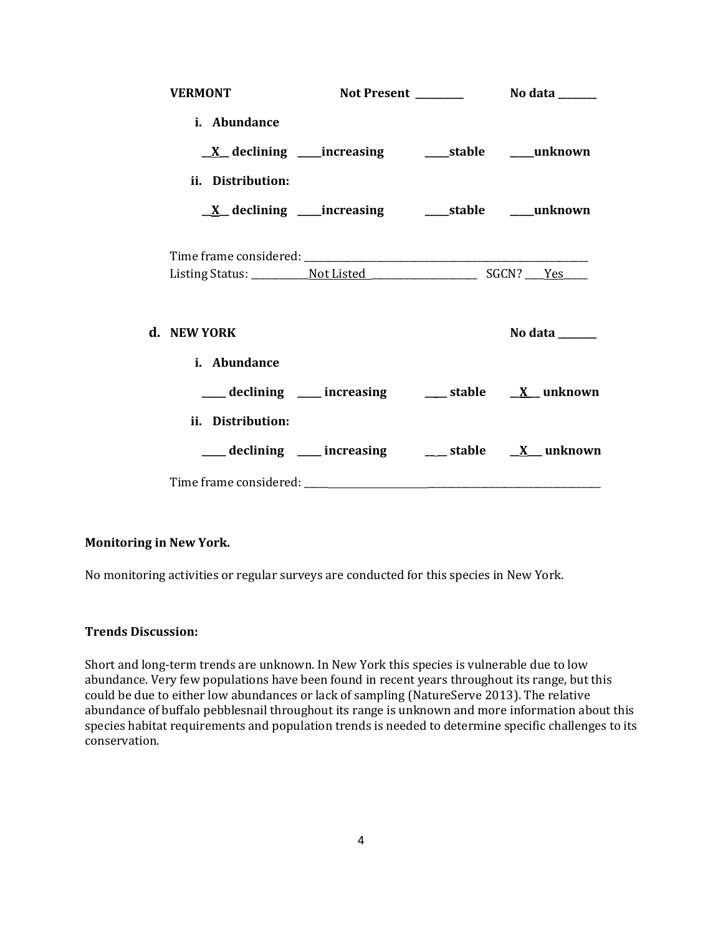| <b>VERMONT</b>                                                            |  |                                                                             |
|---------------------------------------------------------------------------|--|-----------------------------------------------------------------------------|
| i. Abundance                                                              |  |                                                                             |
| $\underline{X}$ declining ____increasing __________stable ________unknown |  |                                                                             |
| ii. Distribution:                                                         |  |                                                                             |
| $\underline{X}$ declining ____increasing __________stable ________unknown |  |                                                                             |
|                                                                           |  |                                                                             |
| d. NEW YORK                                                               |  | No data $\frac{1}{\sqrt{1-\frac{1}{2}}\cdot\frac{1}{\sqrt{1-\frac{1}{2}}}}$ |
| i. Abundance                                                              |  |                                                                             |
|                                                                           |  | ____ declining ____ increasing _____ stable __ <u>X</u> _unknown            |
| ii. Distribution:                                                         |  |                                                                             |
|                                                                           |  | ___ declining ___ increasing ___ stable __ X_ unknown                       |
|                                                                           |  |                                                                             |

### **Monitoring in New York.**

No monitoring activities or regular surveys are conducted for this species in New York.

### **Trends Discussion:**

Short and long-term trends are unknown. In New York this species is vulnerable due to low abundance. Very few populations have been found in recent years throughout its range, but this could be due to either low abundances or lack of sampling (NatureServe 2013). The relative abundance of buffalo pebblesnail throughout its range is unknown and more information about this species habitat requirements and population trends is needed to determine specific challenges to its conservation.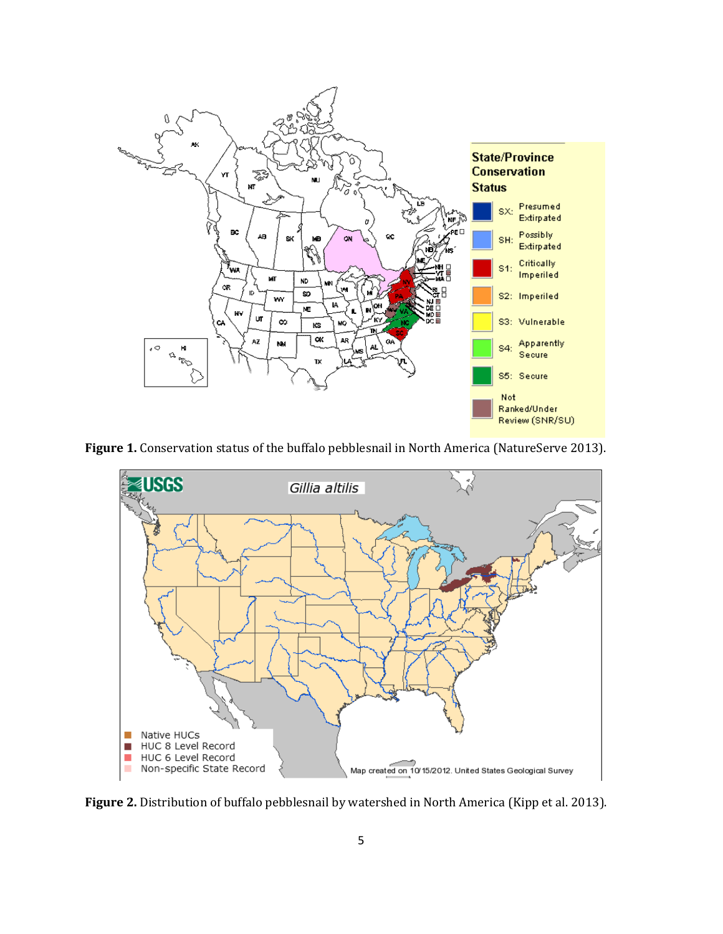

Figure 1. Conservation status of the buffalo pebblesnail in North America (NatureServe 2013).



Figure 2. Distribution of buffalo pebblesnail by watershed in North America (Kipp et al. 2013).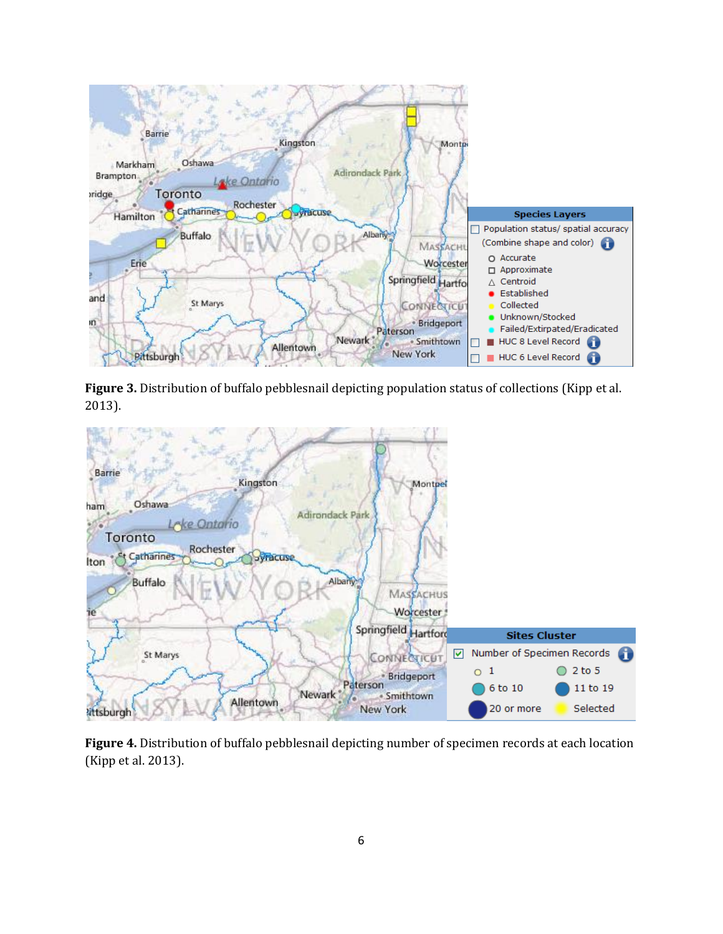

**Figure 3.** Distribution of buffalo pebblesnail depicting population status of collections (Kipp et al. 2013).



**Figure 4.** Distribution of buffalo pebblesnail depicting number of specimen records at each location (Kipp et al. 2013).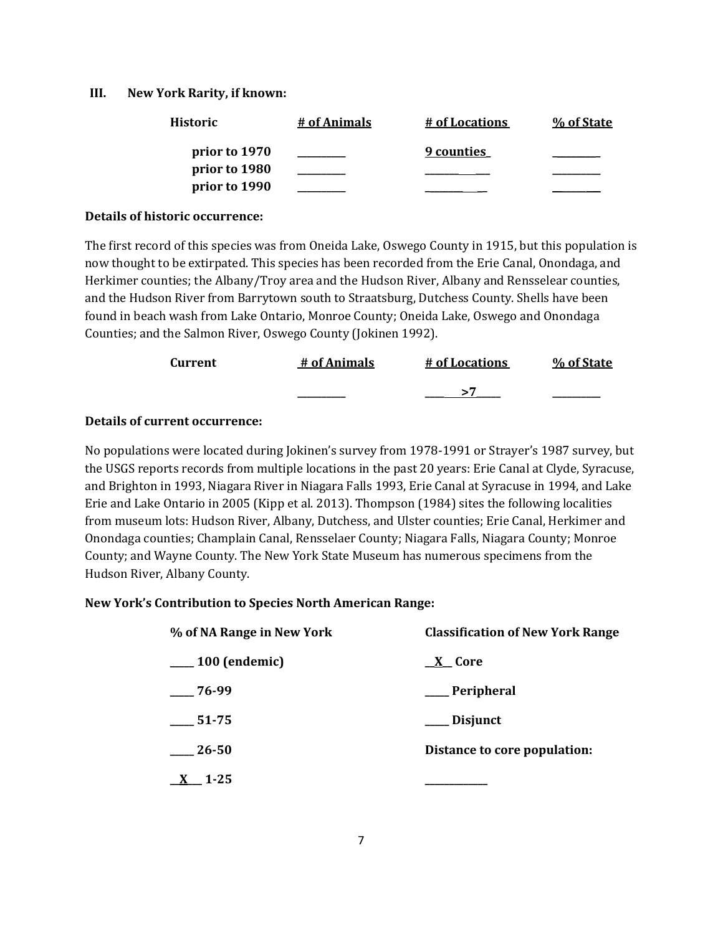#### **III. New York Rarity, if known:**

| <b>Historic</b> | # of Animals | # of Locations | % of State |
|-----------------|--------------|----------------|------------|
| prior to 1970   |              | 9 counties     |            |
| prior to 1980   |              |                |            |
| prior to 1990   |              |                |            |

#### **Details of historic occurrence:**

The first record of this species was from Oneida Lake, Oswego County in 1915, but this population is now thought to be extirpated. This species has been recorded from the Erie Canal, Onondaga, and Herkimer counties; the Albany/Troy area and the Hudson River, Albany and Rensselear counties, and the Hudson River from Barrytown south to Straatsburg, Dutchess County. Shells have been found in beach wash from Lake Ontario, Monroe County; Oneida Lake, Oswego and Onondaga Counties; and the Salmon River, Oswego County (Jokinen 1992).

| Current | # of Animals | # of Locations | % of State |
|---------|--------------|----------------|------------|
|         | __________   |                | _________  |

# **Details of current occurrence:**

No populations were located during Jokinen's survey from 1978-1991 or Strayer's 1987 survey, but the USGS reports records from multiple locations in the past 20 years: Erie Canal at Clyde, Syracuse, and Brighton in 1993, Niagara River in Niagara Falls 1993, Erie Canal at Syracuse in 1994, and Lake Erie and Lake Ontario in 2005 (Kipp et al. 2013). Thompson (1984) sites the following localities from museum lots: Hudson River, Albany, Dutchess, and Ulster counties; Erie Canal, Herkimer and Onondaga counties; Champlain Canal, Rensselaer County; Niagara Falls, Niagara County; Monroe County; and Wayne County. The New York State Museum has numerous specimens from the Hudson River, Albany County.

#### **New York's Contribution to Species North American Range:**

| % of NA Range in New York | <b>Classification of New York Range</b> |  |
|---------------------------|-----------------------------------------|--|
| $\frac{100}{2}$ (endemic) | <u>_X</u> _Core                         |  |
| $-76-99$                  | __ Peripheral                           |  |
| 51-75                     | ___ Disjunct                            |  |
| 26-50                     | Distance to core population:            |  |
| $\underline{X}$ 1-25      |                                         |  |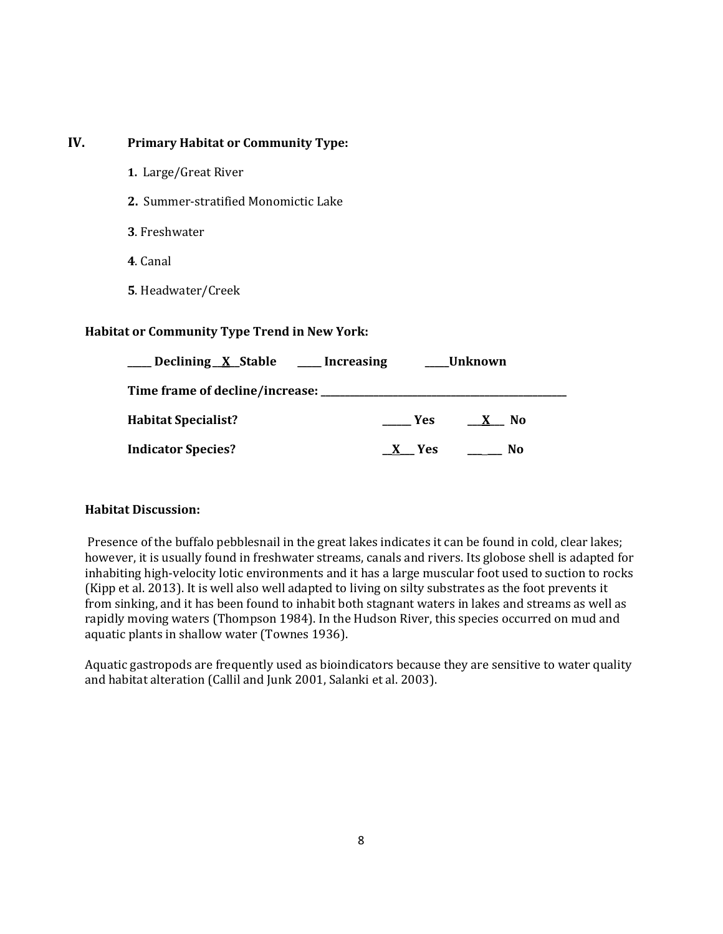# **IV. Primary Habitat or Community Type:**

- **1.** Large/Great River
- **2.** Summer-stratified Monomictic Lake
- **3**. Freshwater
- **4**. Canal
- **5**. Headwater/Creek

### **Habitat or Community Type Trend in New York:**

| Declining X Stable                      | ____ Increasing | Unknown        |
|-----------------------------------------|-----------------|----------------|
| Time frame of decline/increase: _______ |                 |                |
| <b>Habitat Specialist?</b>              | <b>Yes</b>      | N <sub>0</sub> |
| <b>Indicator Species?</b>               | - Yes           | No             |

### **Habitat Discussion:**

Presence of the buffalo pebblesnail in the great lakes indicates it can be found in cold, clear lakes; however, it is usually found in freshwater streams, canals and rivers. Its globose shell is adapted for inhabiting high-velocity lotic environments and it has a large muscular foot used to suction to rocks (Kipp et al. 2013). It is well also well adapted to living on silty substrates as the foot prevents it from sinking, and it has been found to inhabit both stagnant waters in lakes and streams as well as rapidly moving waters (Thompson 1984). In the Hudson River, this species occurred on mud and aquatic plants in shallow water (Townes 1936).

Aquatic gastropods are frequently used as bioindicators because they are sensitive to water quality and habitat alteration (Callil and Junk 2001, Salanki et al. 2003).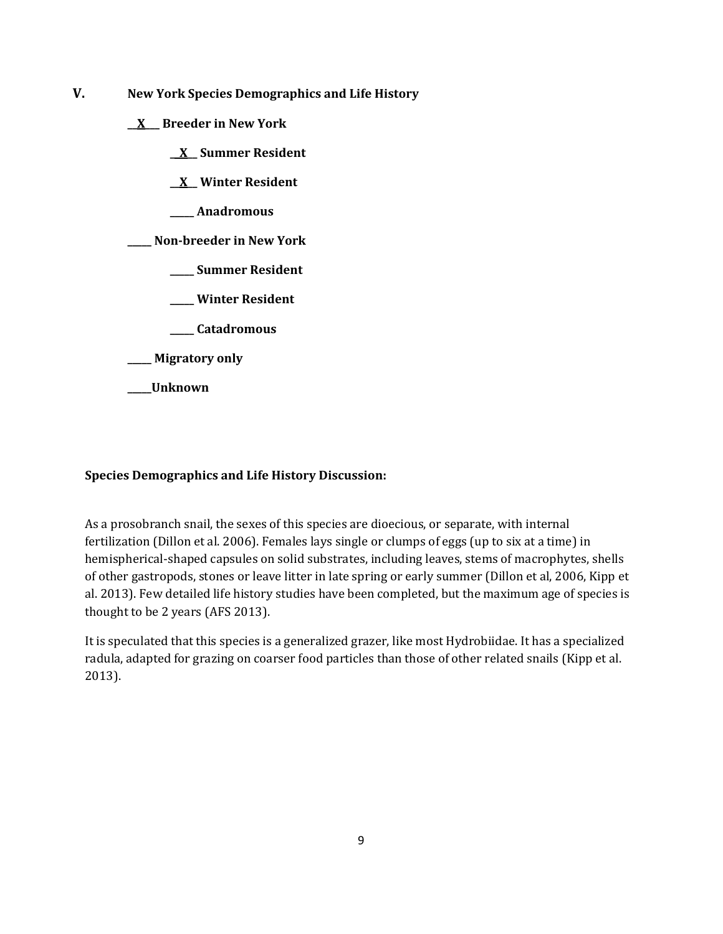- **V. New York Species Demographics and Life History**
	- **\_\_X\_\_\_ Breeder in New York**
		- **\_\_X\_\_ Summer Resident**
		- **\_\_X\_\_ Winter Resident**
		- **\_\_\_\_\_ Anadromous**

**\_\_\_\_\_ Non-breeder in New York**

- **\_\_\_\_\_ Summer Resident**
- **\_\_\_\_\_ Winter Resident**
- **\_\_\_\_\_ Catadromous**
- **\_\_\_\_\_ Migratory only**
- **\_\_\_\_\_Unknown**

### **Species Demographics and Life History Discussion:**

As a prosobranch snail, the sexes of this species are dioecious, or separate, with internal fertilization (Dillon et al. 2006). Females lays single or clumps of eggs (up to six at a time) in hemispherical-shaped capsules on solid substrates, including leaves, stems of macrophytes, shells of other gastropods, stones or leave litter in late spring or early summer (Dillon et al, 2006, Kipp et al. 2013). Few detailed life history studies have been completed, but the maximum age of species is thought to be 2 years (AFS 2013).

It is speculated that this species is a generalized grazer, like most Hydrobiidae. It has a specialized radula, adapted for grazing on coarser food particles than those of other related snails (Kipp et al. 2013).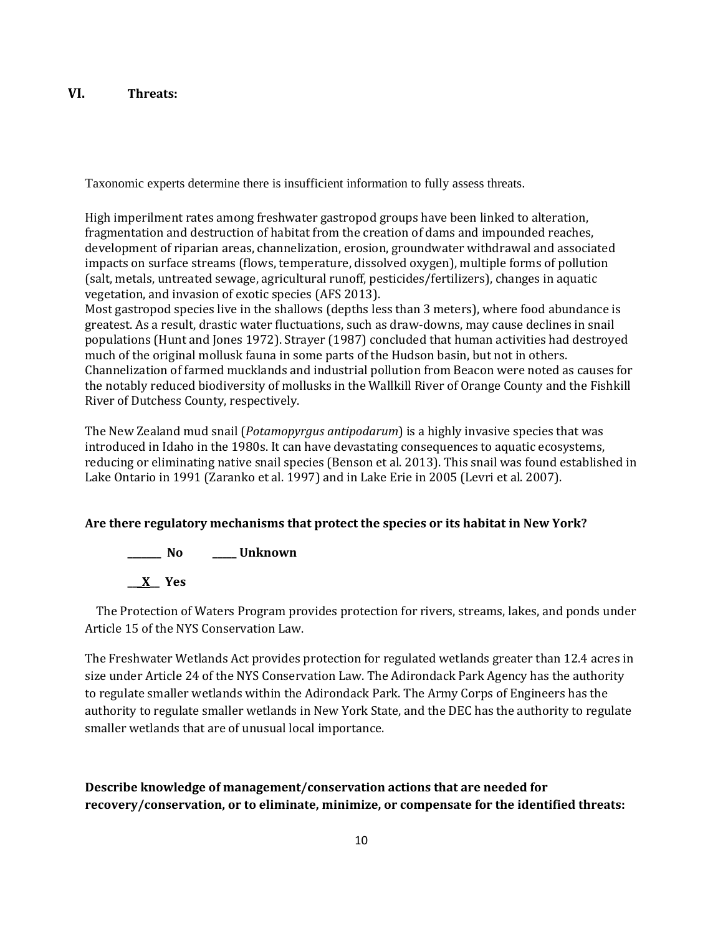# **VI. Threats:**

Taxonomic experts determine there is insufficient information to fully assess threats.

High imperilment rates among freshwater gastropod groups have been linked to alteration, fragmentation and destruction of habitat from the creation of dams and impounded reaches, development of riparian areas, channelization, erosion, groundwater withdrawal and associated impacts on surface streams (flows, temperature, dissolved oxygen), multiple forms of pollution (salt, metals, untreated sewage, agricultural runoff, pesticides/fertilizers), changes in aquatic vegetation, and invasion of exotic species (AFS 2013).

Most gastropod species live in the shallows (depths less than 3 meters), where food abundance is greatest. As a result, drastic water fluctuations, such as draw-downs, may cause declines in snail populations (Hunt and Jones 1972). Strayer (1987) concluded that human activities had destroyed much of the original mollusk fauna in some parts of the Hudson basin, but not in others. Channelization of farmed mucklands and industrial pollution from Beacon were noted as causes for the notably reduced biodiversity of mollusks in the Wallkill River of Orange County and the Fishkill River of Dutchess County, respectively.

The New Zealand mud snail (*Potamopyrgus antipodarum*) is a highly invasive species that was introduced in Idaho in the 1980s. It can have devastating consequences to aquatic ecosystems, reducing or eliminating native snail species (Benson et al. 2013). This snail was found established in Lake Ontario in 1991 (Zaranko et al. 1997) and in Lake Erie in 2005 (Levri et al. 2007).

# **Are there regulatory mechanisms that protect the species or its habitat in New York?**

**\_\_\_\_\_\_\_ No \_\_\_\_\_ Unknown \_\_\_X\_\_ Yes** 

 The Protection of Waters Program provides protection for rivers, streams, lakes, and ponds under Article 15 of the NYS Conservation Law.

The Freshwater Wetlands Act provides protection for regulated wetlands greater than 12.4 acres in size under Article 24 of the NYS Conservation Law. The Adirondack Park Agency has the authority to regulate smaller wetlands within the Adirondack Park. The Army Corps of Engineers has the authority to regulate smaller wetlands in New York State, and the DEC has the authority to regulate smaller wetlands that are of unusual local importance.

**Describe knowledge of management/conservation actions that are needed for recovery/conservation, or to eliminate, minimize, or compensate for the identified threats:**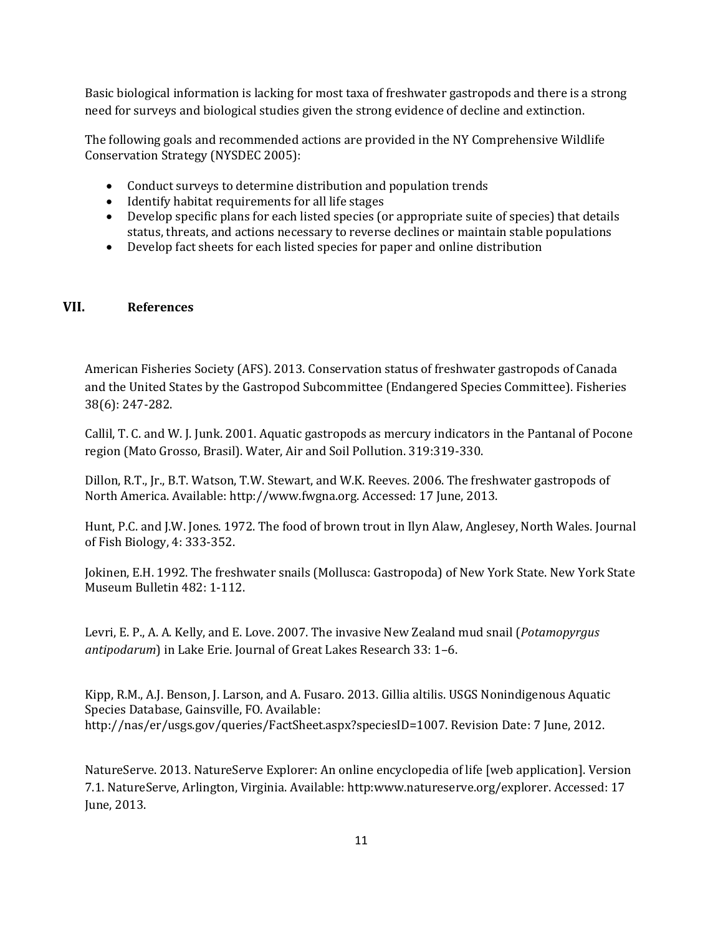Basic biological information is lacking for most taxa of freshwater gastropods and there is a strong need for surveys and biological studies given the strong evidence of decline and extinction.

The following goals and recommended actions are provided in the NY Comprehensive Wildlife Conservation Strategy (NYSDEC 2005):

- Conduct surveys to determine distribution and population trends
- Identify habitat requirements for all life stages
- Develop specific plans for each listed species (or appropriate suite of species) that details status, threats, and actions necessary to reverse declines or maintain stable populations
- Develop fact sheets for each listed species for paper and online distribution

### **VII. References**

American Fisheries Society (AFS). 2013. Conservation status of freshwater gastropods of Canada and the United States by the Gastropod Subcommittee (Endangered Species Committee). Fisheries 38(6): 247-282.

Callil, T. C. and W. J. Junk. 2001. Aquatic gastropods as mercury indicators in the Pantanal of Pocone region (Mato Grosso, Brasil). Water, Air and Soil Pollution. 319:319-330.

Dillon, R.T., Jr., B.T. Watson, T.W. Stewart, and W.K. Reeves. 2006. The freshwater gastropods of North America. Available: http://www.fwgna.org. Accessed: 17 June, 2013.

Hunt, P.C. and J.W. Jones. 1972. The food of brown trout in Ilyn Alaw, Anglesey, North Wales. Journal of Fish Biology, 4: 333-352.

Jokinen, E.H. 1992. The freshwater snails (Mollusca: Gastropoda) of New York State. New York State Museum Bulletin 482: 1-112.

Levri, E. P., A. A. Kelly, and E. Love. 2007. The invasive New Zealand mud snail (*Potamopyrgus antipodarum*) in Lake Erie. Journal of Great Lakes Research 33: 1–6.

Kipp, R.M., A.J. Benson, J. Larson, and A. Fusaro. 2013. Gillia altilis. USGS Nonindigenous Aquatic Species Database, Gainsville, FO. Available: http://nas/er/usgs.gov/queries/FactSheet.aspx?speciesID=1007. Revision Date: 7 June, 2012.

NatureServe. 2013. NatureServe Explorer: An online encyclopedia of life [web application]. Version 7.1. NatureServe, Arlington, Virginia. Available: http:www.natureserve.org/explorer. Accessed: 17 June, 2013.